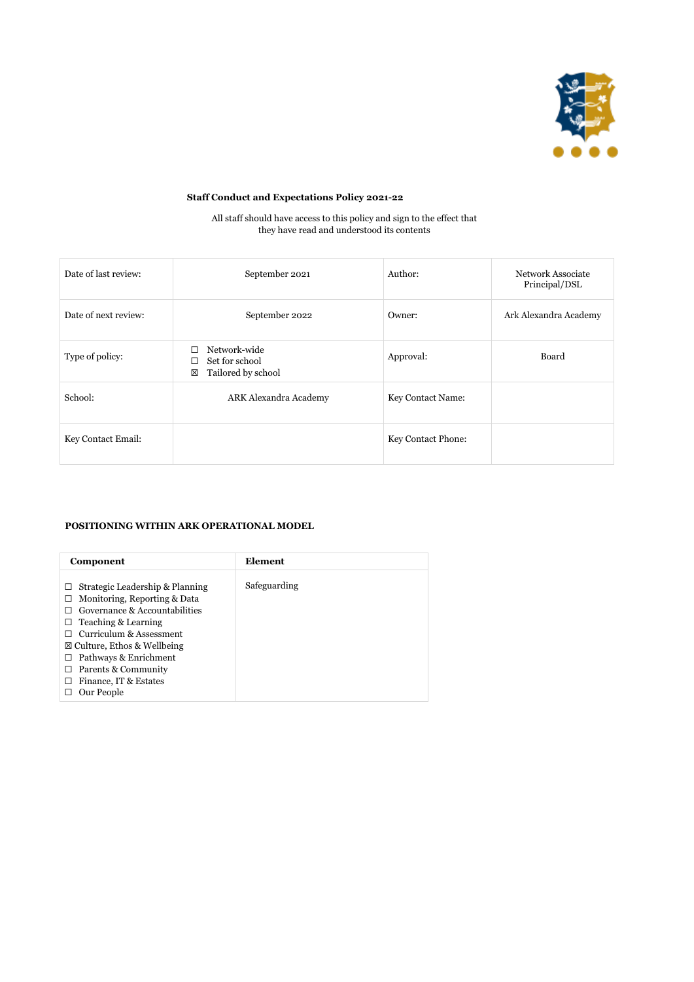

# **Staff Conduct and Expectations Policy 2021-22**

All staff should have access to this policy and sign to the effect that they have read and understood its contents

| Date of last review: | September 2021                                            | Author:                  | <b>Network Associate</b><br>Principal/DSL |
|----------------------|-----------------------------------------------------------|--------------------------|-------------------------------------------|
| Date of next review: | September 2022                                            | Owner:                   | Ark Alexandra Academy                     |
| Type of policy:      | Network-wide<br>Set for school<br>Tailored by school<br>区 | Approval:                | Board                                     |
| School:              | ARK Alexandra Academy                                     | <b>Key Contact Name:</b> |                                           |
| Key Contact Email:   |                                                           | Key Contact Phone:       |                                           |

### **POSITIONING WITHIN ARK OPERATIONAL MODEL**

| Component                                                                                                                                                                                                                                                                                                                          | Element      |
|------------------------------------------------------------------------------------------------------------------------------------------------------------------------------------------------------------------------------------------------------------------------------------------------------------------------------------|--------------|
| Strategic Leadership & Planning<br>$\mathsf{L}$<br>Monitoring, Reporting & Data<br>$\Box$<br>Governance & Accountabilities<br>Teaching & Learning<br>Curriculum & Assessment<br>$\boxtimes$ Culture, Ethos & Wellbeing<br>Pathways & Enrichment<br>$\Box$<br>Parents & Community<br>$\perp$<br>Finance, IT & Estates<br>Our People | Safeguarding |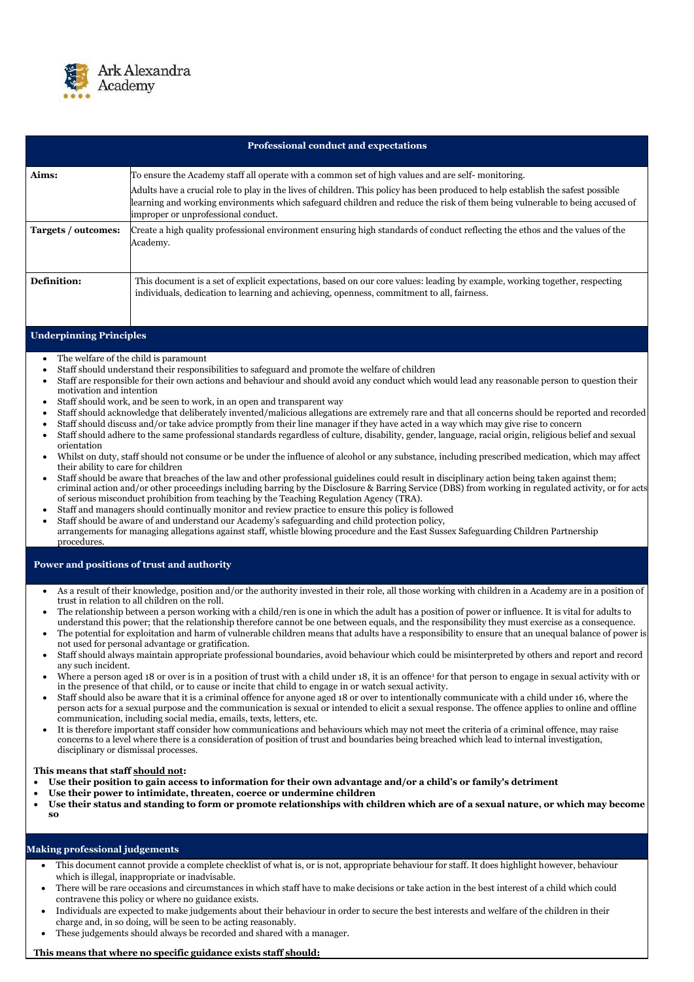

|                                                                                                                                                                                                                                             | <b>Professional conduct and expectations</b>                                                                                                                                                                                                                                                                                                                                                                                                                                                                                                                                                                                                                                                                                                                                                                                                                                                                                                                                                                                                                                                                                                                                                                                                                                                                                                                                                                                                                                                                                                                                                                                                                                                                                              |  |  |  |
|---------------------------------------------------------------------------------------------------------------------------------------------------------------------------------------------------------------------------------------------|-------------------------------------------------------------------------------------------------------------------------------------------------------------------------------------------------------------------------------------------------------------------------------------------------------------------------------------------------------------------------------------------------------------------------------------------------------------------------------------------------------------------------------------------------------------------------------------------------------------------------------------------------------------------------------------------------------------------------------------------------------------------------------------------------------------------------------------------------------------------------------------------------------------------------------------------------------------------------------------------------------------------------------------------------------------------------------------------------------------------------------------------------------------------------------------------------------------------------------------------------------------------------------------------------------------------------------------------------------------------------------------------------------------------------------------------------------------------------------------------------------------------------------------------------------------------------------------------------------------------------------------------------------------------------------------------------------------------------------------------|--|--|--|
| Aims:                                                                                                                                                                                                                                       | To ensure the Academy staff all operate with a common set of high values and are self-monitoring.                                                                                                                                                                                                                                                                                                                                                                                                                                                                                                                                                                                                                                                                                                                                                                                                                                                                                                                                                                                                                                                                                                                                                                                                                                                                                                                                                                                                                                                                                                                                                                                                                                         |  |  |  |
|                                                                                                                                                                                                                                             | Adults have a crucial role to play in the lives of children. This policy has been produced to help establish the safest possible<br>learning and working environments which safeguard children and reduce the risk of them being vulnerable to being accused of<br>improper or unprofessional conduct.                                                                                                                                                                                                                                                                                                                                                                                                                                                                                                                                                                                                                                                                                                                                                                                                                                                                                                                                                                                                                                                                                                                                                                                                                                                                                                                                                                                                                                    |  |  |  |
| Targets / outcomes:                                                                                                                                                                                                                         | Create a high quality professional environment ensuring high standards of conduct reflecting the ethos and the values of the<br>Academy.                                                                                                                                                                                                                                                                                                                                                                                                                                                                                                                                                                                                                                                                                                                                                                                                                                                                                                                                                                                                                                                                                                                                                                                                                                                                                                                                                                                                                                                                                                                                                                                                  |  |  |  |
| Definition:                                                                                                                                                                                                                                 | This document is a set of explicit expectations, based on our core values: leading by example, working together, respecting<br>individuals, dedication to learning and achieving, openness, commitment to all, fairness.                                                                                                                                                                                                                                                                                                                                                                                                                                                                                                                                                                                                                                                                                                                                                                                                                                                                                                                                                                                                                                                                                                                                                                                                                                                                                                                                                                                                                                                                                                                  |  |  |  |
| <b>Underpinning Principles</b>                                                                                                                                                                                                              |                                                                                                                                                                                                                                                                                                                                                                                                                                                                                                                                                                                                                                                                                                                                                                                                                                                                                                                                                                                                                                                                                                                                                                                                                                                                                                                                                                                                                                                                                                                                                                                                                                                                                                                                           |  |  |  |
| $\bullet$<br>$\bullet$<br>$\bullet$<br>motivation and intention<br>$\bullet$<br>$\bullet$<br>$\bullet$<br>$\bullet$<br>orientation<br>$\bullet$<br>their ability to care for children<br>$\bullet$<br>$\bullet$<br>$\bullet$<br>procedures. | The welfare of the child is paramount<br>Staff should understand their responsibilities to safeguard and promote the welfare of children<br>Staff are responsible for their own actions and behaviour and should avoid any conduct which would lead any reasonable person to question their<br>Staff should work, and be seen to work, in an open and transparent way<br>Staff should acknowledge that deliberately invented/malicious allegations are extremely rare and that all concerns should be reported and recorded<br>Staff should discuss and/or take advice promptly from their line manager if they have acted in a way which may give rise to concern<br>Staff should adhere to the same professional standards regardless of culture, disability, gender, language, racial origin, religious belief and sexual<br>Whilst on duty, staff should not consume or be under the influence of alcohol or any substance, including prescribed medication, which may affect<br>Staff should be aware that breaches of the law and other professional guidelines could result in disciplinary action being taken against them;<br>criminal action and/or other proceedings including barring by the Disclosure & Barring Service (DBS) from working in regulated activity, or for acts<br>of serious misconduct prohibition from teaching by the Teaching Regulation Agency (TRA).<br>Staff and managers should continually monitor and review practice to ensure this policy is followed<br>Staff should be aware of and understand our Academy's safeguarding and child protection policy,<br>arrangements for managing allegations against staff, whistle blowing procedure and the East Sussex Safeguarding Children Partnership |  |  |  |
| $\bullet$<br>$\bullet$                                                                                                                                                                                                                      | Power and positions of trust and authority<br>As a result of their knowledge, position and/or the authority invested in their role, all those working with children in a Academy are in a position of<br>trust in relation to all children on the roll.<br>The relationship between a person working with a child/ren is one in which the adult has a position of power or influence. It is vital for adults to<br>understand this power; that the relationship therefore cannot be one between equals, and the responsibility they must exercise as a consequence.<br>The potential for exploitation and harm of vulnerable children means that adults have a responsibility to ensure that an unequal balance of power is                                                                                                                                                                                                                                                                                                                                                                                                                                                                                                                                                                                                                                                                                                                                                                                                                                                                                                                                                                                                               |  |  |  |
| $\bullet$                                                                                                                                                                                                                                   | not used for personal advantage or gratification.<br>Staff should always maintain appropriate professional boundaries, avoid behaviour which could be misinterpreted by others and report and record<br>any such incident.                                                                                                                                                                                                                                                                                                                                                                                                                                                                                                                                                                                                                                                                                                                                                                                                                                                                                                                                                                                                                                                                                                                                                                                                                                                                                                                                                                                                                                                                                                                |  |  |  |

- Where a person aged 18 or over is in a position of trust with a child under 18, it is an offence<sup>1</sup> for that person to engage in sexual activity with or in the presence of that child, or to cause or incite that child to engage in or watch sexual activity.
- Staff should also be aware that it is a criminal offence for anyone aged 18 or over to intentionally communicate with a child under 16, where the person acts for a sexual purpose and the communication is sexual or intended to elicit a sexual response. The offence applies to online and offline communication, including social media, emails, texts, letters, etc.
- It is therefore important staff consider how communications and behaviours which may not meet the criteria of a criminal offence, may raise concerns to a level where there is a consideration of position of trust and boundaries being breached which lead to internal investigation,

disciplinary or dismissal processes.

**This means that staff should not:**

- **Use their position to gain access to information for their own advantage and/or a child's or family's detriment**
- **Use their power to intimidate, threaten, coerce or undermine children**
- **Use their status and standing to form or promote relationships with children which are of a sexual nature, or which may become so**

## **Making professional judgements**

- This document cannot provide a complete checklist of what is, or is not, appropriate behaviour for staff. It does highlight however, behaviour which is illegal, inappropriate or inadvisable.
- There will be rare occasions and circumstances in which staff have to make decisions or take action in the best interest of a child which could contravene this policy or where no guidance exists.
- Individuals are expected to make judgements about their behaviour in order to secure the best interests and welfare of the children in their charge and, in so doing, will be seen to be acting reasonably.
- These judgements should always be recorded and shared with a manager.

## **This means that where no specific guidance exists staff should:**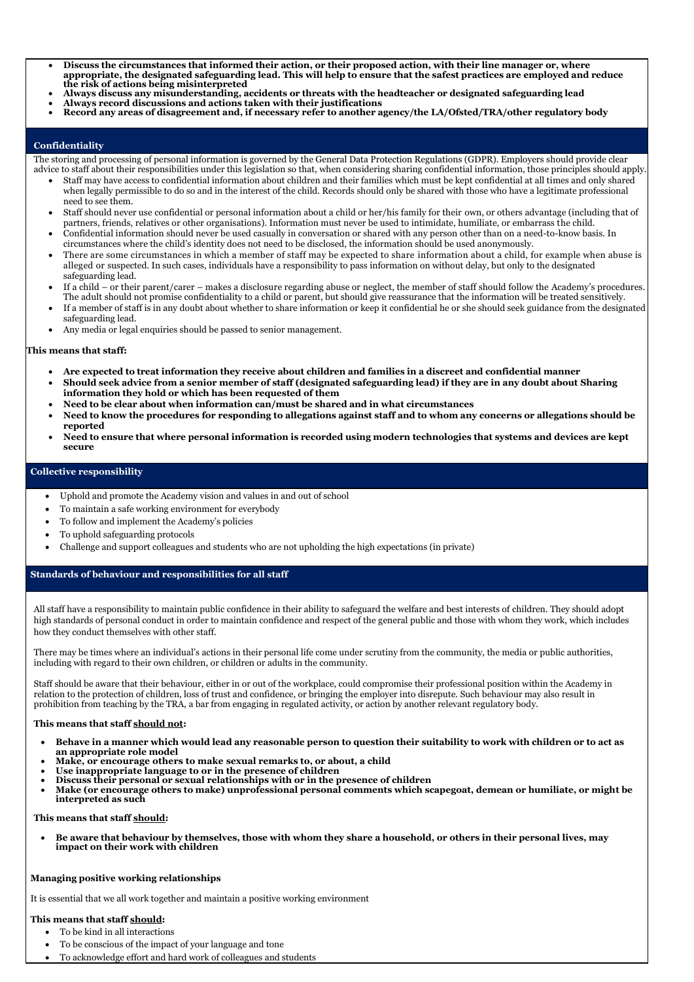- **Discuss the circumstances that informed their action, or their proposed action, with their line manager or, where appropriate, the designated safeguarding lead. This will help to ensure that the safest practices are employed and reduce the risk of actions being misinterpreted**
- **Always discuss any misunderstanding, accidents or threats with the headteacher or designated safeguarding lead**
- **Always record discussions and actions taken with their justifications**
- **Record any areas of disagreement and, if necessary refer to another agency/the LA/Ofsted/TRA/other regulatory body**

#### **Confidentiality**

The storing and processing of personal information is governed by the General Data Protection Regulations (GDPR). Employers should provide clear advice to staff about their responsibilities under this legislation so that, when considering sharing confidential information, those principles should apply.

- Staff may have access to confidential information about children and their families which must be kept confidential at all times and only shared when legally permissible to do so and in the interest of the child. Records should only be shared with those who have a legitimate professional need to see them.
- Staff should never use confidential or personal information about a child or her/his family for their own, or others advantage (including that of partners, friends, relatives or other organisations). Information must never be used to intimidate, humiliate, or embarrass the child.
- Confidential information should never be used casually in conversation or shared with any person other than on a need-to-know basis. In circumstances where the child's identity does not need to be disclosed, the information should be used anonymously.
- There are some circumstances in which a member of staff may be expected to share information about a child, for example when abuse is alleged or suspected. In such cases, individuals have a responsibility to pass information on without delay, but only to the designated safeguarding lead.
- If a child or their parent/carer makes a disclosure regarding abuse or neglect, the member of staff should follow the Academy's procedures. The adult should not promise confidentiality to a child or parent, but should give reassurance that the information will be treated sensitively.
- If a member of staff is in any doubt about whether to share information or keep it confidential he or she should seek guidance from the designated safeguarding lead.
- Any media or legal enquiries should be passed to senior management.

#### **This means that staff:**

- **Are expected to treat information they receive about children and families in a discreet and confidential manner**
- **Should seek advice from a senior member of staff (designated safeguarding lead) if they are in any doubt about Sharing information they hold or which has been requested of them**
- **Need to be clear about when information can/must be shared and in what circumstances**
- **Need to know the procedures for responding to allegations against staff and to whom any concerns or allegations should be reported**
- **Need to ensure that where personal information is recorded using modern technologies that systems and devices are kept secure**

### **Collective responsibility**

- Uphold and promote the Academy vision and values in and out of school
- To maintain a safe working environment for everybody
- To follow and implement the Academy's policies
- To uphold safeguarding protocols
- Challenge and support colleagues and students who are not upholding the high expectations (in private)

#### **Standards of behaviour and responsibilities for all staff**

All staff have a responsibility to maintain public confidence in their ability to safeguard the welfare and best interests of children. They should adopt high standards of personal conduct in order to maintain confidence and respect of the general public and those with whom they work, which includes how they conduct themselves with other staff.

There may be times where an individual's actions in their personal life come under scrutiny from the community, the media or public authorities, including with regard to their own children, or children or adults in the community.

Staff should be aware that their behaviour, either in or out of the workplace, could compromise their professional position within the Academy in relation to the protection of children, loss of trust and confidence, or bringing the employer into disrepute. Such behaviour may also result in prohibition from teaching by the TRA, a bar from engaging in regulated activity, or action by another relevant regulatory body.

#### **This means that staff should not:**

- **Behave in a manner which would lead any reasonable person to question their suitability to work with children or to act as an appropriate role model**
- **Make, or encourage others to make sexual remarks to, or about, a child**
- **Use inappropriate language to or in the presence of children**
- **Discuss their personal or sexual relationships with or in the presence of children**
- **Make (or encourage others to make) unprofessional personal comments which scapegoat, demean or humiliate, or might be interpreted as such**

**This means that staff should:**

• **Be aware that behaviour by themselves, those with whom they share a household, or others in their personal lives, may impact on their work with children**

## **Managing positive working relationships**

It is essential that we all work together and maintain a positive working environment

#### **This means that staff should:**

- To be kind in all interactions
- To be conscious of the impact of your language and tone
- To acknowledge effort and hard work of colleagues and students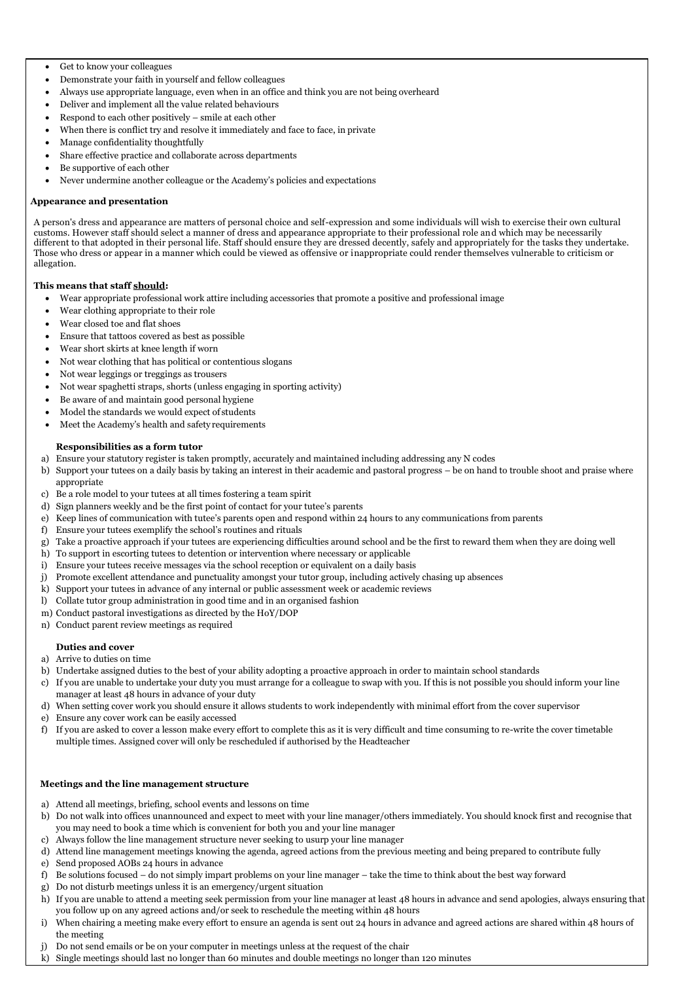- Get to know your colleagues
- Demonstrate your faith in yourself and fellow colleagues
- Always use appropriate language, even when in an office and think you are not being overheard
- Deliver and implement all the value related behaviours
- Respond to each other positively smile at each other
- When there is conflict try and resolve it immediately and face to face, in private
- Manage confidentiality thoughtfully
- Share effective practice and collaborate across departments
- Be supportive of each other
- Never undermine another colleague or the Academy's policies and expectations

### **Appearance and presentation**

A person's dress and appearance are matters of personal choice and self-expression and some individuals will wish to exercise their own cultural customs. However staff should select a manner of dress and appearance appropriate to their professional role and which may be necessarily different to that adopted in their personal life. Staff should ensure they are dressed decently, safely and appropriately for the tasks they undertake. Those who dress or appear in a manner which could be viewed as offensive or inappropriate could render themselves vulnerable to criticism or allegation.

### **This means that staff should:**

- Wear appropriate professional work attire including accessories that promote a positive and professional image
- Wear clothing appropriate to their role
- Wear closed toe and flat shoes
- Ensure that tattoos covered as best as possible
- Wear short skirts at knee length if worn
- Not wear clothing that has political or contentious slogans
- Not wear leggings or treggings as trousers
- Not wear spaghetti straps, shorts (unless engaging in sporting activity)
- Be aware of and maintain good personal hygiene
- Model the standards we would expect of students
- Meet the Academy's health and safety requirements

### **Responsibilities as a form tutor**

- a) Ensure your statutory register is taken promptly, accurately and maintained including addressing any N codes
- b) Support your tutees on a daily basis by taking an interest in their academic and pastoral progress be on hand to trouble shoot and praise where appropriate
- c) Be a role model to your tutees at all times fostering a team spirit
- d) Sign planners weekly and be the first point of contact for your tutee's parents
- e) Keep lines of communication with tutee's parents open and respond within 24 hours to any communications from parents
- f) Ensure your tutees exemplify the school's routines and rituals
- g) Take a proactive approach if your tutees are experiencing difficulties around school and be the first to reward them when they are doing well
- h) To support in escorting tutees to detention or intervention where necessary or applicable
- i) Ensure your tutees receive messages via the school reception or equivalent on a daily basis
- j) Promote excellent attendance and punctuality amongst your tutor group, including actively chasing up absences
- k) Support your tutees in advance of any internal or public assessment week or academic reviews
- l) Collate tutor group administration in good time and in an organised fashion
- m) Conduct pastoral investigations as directed by the HoY/DOP
- n) Conduct parent review meetings as required

### **Duties and cover**

- a) Arrive to duties on time
- b) Undertake assigned duties to the best of your ability adopting a proactive approach in order to maintain school standards
- c) If you are unable to undertake your duty you must arrange for a colleague to swap with you. If this is not possible you should inform your line manager at least 48 hours in advance of your duty
- d) When setting cover work you should ensure it allows students to work independently with minimal effort from the cover supervisor
- e) Ensure any cover work can be easily accessed
- f) If you are asked to cover a lesson make every effort to complete this as it is very difficult and time consuming to re-write the cover timetable multiple times. Assigned cover will only be rescheduled if authorised by the Headteacher

#### **Meetings and the line management structure**

- a) Attend all meetings, briefing, school events and lessons on time
- b) Do not walk into offices unannounced and expect to meet with your line manager/others immediately. You should knock first and recognise that you may need to book a time which is convenient for both you and your line manager
- c) Always follow the line management structure never seeking to usurp your line manager
- d) Attend line management meetings knowing the agenda, agreed actions from the previous meeting and being prepared to contribute fully
- e) Send proposed AOBs 24 hours in advance
- f) Be solutions focused do not simply impart problems on your line manager take the time to think about the best way forward
- g) Do not disturb meetings unless it is an emergency/urgent situation
- h) If you are unable to attend a meeting seek permission from your line manager at least 48 hours in advance and send apologies, always ensuring that you follow up on any agreed actions and/or seek to reschedule the meeting within 48 hours
- i) When chairing a meeting make every effort to ensure an agenda is sent out 24 hours in advance and agreed actions are shared within 48 hours of the meeting
- j) Do not send emails or be on your computer in meetings unless at the request of the chair
- k) Single meetings should last no longer than 60 minutes and double meetings no longer than 120 minutes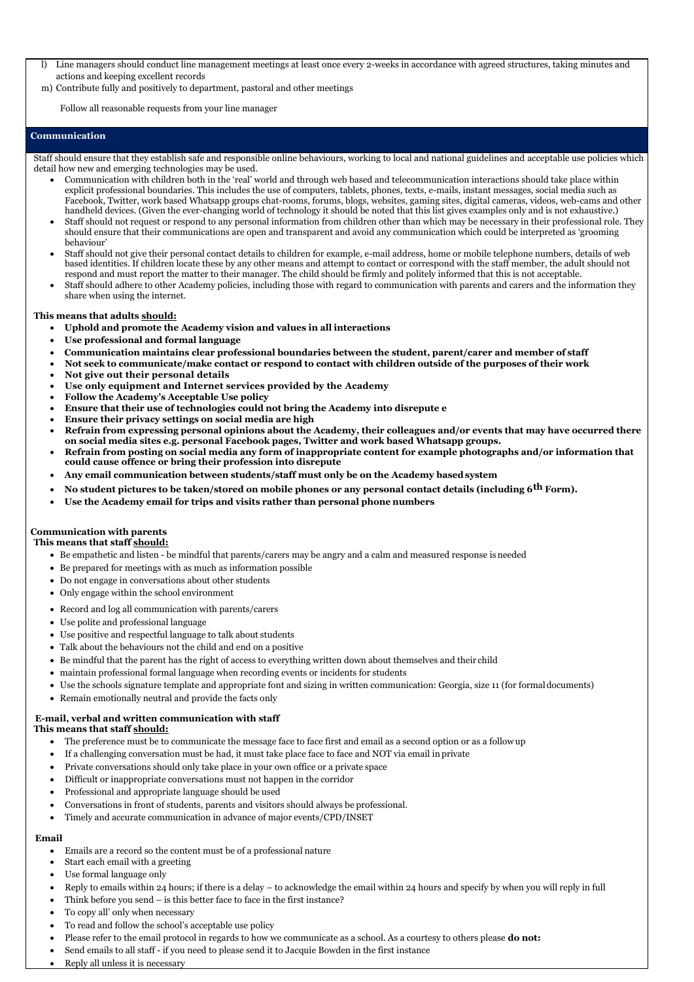- l) Line managers should conduct line management meetings at least once every 2-weeks in accordance with agreed structures, taking minutes and actions and keeping excellent records
- m) Contribute fully and positively to department, pastoral and other meetings

Follow all reasonable requests from your line manager

### **Communication**

Staff should ensure that they establish safe and responsible online behaviours, working to local and national guidelines and acceptable use policies which detail how new and emerging technologies may be used.

- Communication with children both in the 'real' world and through web based and telecommunication interactions should take place within explicit professional boundaries. This includes the use of computers, tablets, phones, texts, e-mails, instant messages, social media such as Facebook, Twitter, work based Whatsapp groups chat-rooms, forums, blogs, websites, gaming sites, digital cameras, videos, web-cams and other handheld devices. (Given the ever-changing world of technology it should be noted that this list gives examples only and is not exhaustive.)
- Staff should not request or respond to any personal information from children other than which may be necessary in their professional role. They should ensure that their communications are open and transparent and avoid any communication which could be interpreted as 'grooming behaviour'
- Staff should not give their personal contact details to children for example, e-mail address, home or mobile telephone numbers, details of web based identities. If children locate these by any other means and attempt to contact or correspond with the staff member, the adult should not respond and must report the matter to their manager. The child should be firmly and politely informed that this is not acceptable.
- Staff should adhere to other Academy policies, including those with regard to communication with parents and carers and the information they share when using the internet.

### **This means that adults should:**

- 
- The preference must be to communicate the message face to face first and email as a second option or as a followup
- If a challenging conversation must be had, it must take place face to face and NOT via email in private
- Private conversations should only take place in your own office or a private space
- Difficult or inappropriate conversations must not happen in the corridor
- Professional and appropriate language should be used
- Conversations in front of students, parents and visitors should always be professional.
- Timely and accurate communication in advance of major events/CPD/INSET
- • **Uphold and promote the Academy vision and values in all interactions**
- • **Use professional and formal language**
- • **Communication maintains clear professional boundaries between the student, parent/carer and member of staff**
- **Not seek to communicate/make contact or respond to contact with children outside of the purposes of their work**
- **Not give out their personal details**
- **Use only equipment and Internet services provided by the Academy**
- **Follow the Academy's Acceptable Use policy**
- **Ensure that their use of technologies could not bring the Academy into disrepute e**
- **Ensure their privacy settings on social media are high**
- **Refrain from expressing personal opinions about the Academy, their colleagues and/or events that may have occurred there on social media sites e.g. personal Facebook pages, Twitter and work based Whatsapp groups.**
- **Refrain from posting on social media any form of inappropriate content for example photographs and/or information that could cause offence or bring their profession into disrepute**
- • **Any email communication between students/staff must only be on the Academy basedsystem**
- • **No student pictures to be taken/stored on mobile phones or any personal contact details (including 6th Form).**
- • **Use the Academy email for trips and visits rather than personal phone numbers**

## **Communication with parents**

#### **This means that staff should:**

- Be empathetic and listen be mindful that parents/carers may be angry and a calm and measured response isneeded
- Be prepared for meetings with as much as information possible
- Do not engage in conversations about other students
- Only engage within the school environment
- Record and log all communication with parents/carers
- Use polite and professional language
- Use positive and respectful language to talk about students
- Talk about the behaviours not the child and end on a positive
- Be mindful that the parent has the right of access to everything written down about themselves and their child
- maintain professional formal language when recording events or incidents for students
- Use the schools signature template and appropriate font and sizing in written communication: Georgia, size 11 (for formaldocuments)
- Remain emotionally neutral and provide the facts only

## **E-mail, verbal and written communication with staff**

## **This means that staff should:**

### **Email**

- Emails are a record so the content must be of a professional nature
- Start each email with a greeting
- Use formal language only
- Reply to emails within 24 hours; if there is a delay to acknowledge the email within 24 hours and specify by when you will reply in full
- Think before you send is this better face to face in the first instance?
- To copy all' only when necessary
- To read and follow the school's acceptable use policy
- Please refer to the email protocol in regards to how we communicate as a school. As a courtesy to others please **do not:**
- Send emails to all staff if you need to please send it to Jacquie Bowden in the first instance
- Reply all unless it is necessary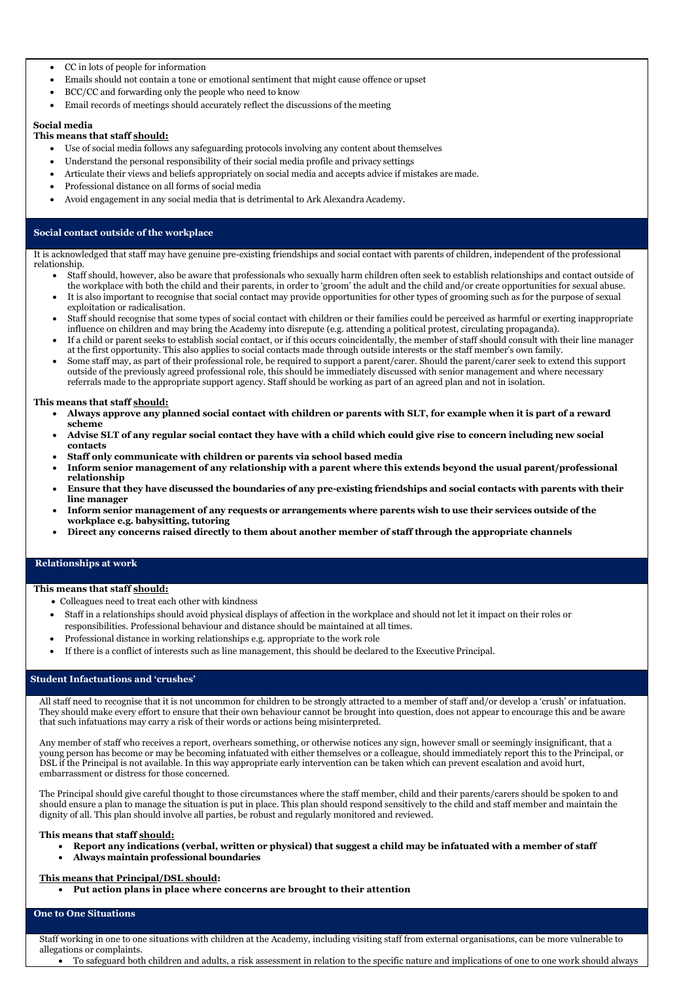- CC in lots of people for information
- Emails should not contain a tone or emotional sentiment that might cause offence or upset
- BCC/CC and forwarding only the people who need to know
- Email records of meetings should accurately reflect the discussions of the meeting

#### **Social media**

### **This means that staff should:**

- Use of social media follows any safeguarding protocols involving any content about themselves
- Understand the personal responsibility of their social media profile and privacy settings
- Articulate their views and beliefs appropriately on social media and accepts advice if mistakes are made.
- Professional distance on all forms of social media
- Avoid engagement in any social media that is detrimental to Ark Alexandra Academy.

### **Social contact outside of the workplace**

It is acknowledged that staff may have genuine pre-existing friendships and social contact with parents of children, independent of the professional relationship.

- Colleagues need to treat each other with kindness
- Staff in a relationships should avoid physical displays of affection in the workplace and should not let it impact on their roles or responsibilities. Professional behaviour and distance should be maintained at all times.
- Professional distance in working relationships e.g. appropriate to the work role
- If there is a conflict of interests such as line management, this should be declared to the Executive Principal.
- Staff should, however, also be aware that professionals who sexually harm children often seek to establish relationships and contact outside of the workplace with both the child and their parents, in order to 'groom' the adult and the child and/or create opportunities for sexual abuse.
- It is also important to recognise that social contact may provide opportunities for other types of grooming such as for the purpose of sexual exploitation or radicalisation.
- Staff should recognise that some types of social contact with children or their families could be perceived as harmful or exerting inappropriate influence on children and may bring the Academy into disrepute (e.g. attending a political protest, circulating propaganda).
- If a child or parent seeks to establish social contact, or if this occurs coincidentally, the member of staff should consult with their line manager at the first opportunity. This also applies to social contacts made through outside interests or the staff member's own family.
- Some staff may, as part of their professional role, be required to support a parent/carer. Should the parent/carer seek to extend this support outside of the previously agreed professional role, this should be immediately discussed with senior management and where necessary referrals made to the appropriate support agency. Staff should be working as part of an agreed plan and not in isolation.

#### **This means that staff should:**

- **Always approve any planned social contact with children or parents with SLT, for example when it is part of a reward scheme**
- **Advise SLT of any regular social contact they have with a child which could give rise to concern including new social contacts**
- **Staff only communicate with children or parents via school based media**
- **Inform senior management of any relationship with a parent where this extends beyond the usual parent/professional relationship**
- **Ensure that they have discussed the boundaries of any pre-existing friendships and social contacts with parents with their line manager**
- **Inform senior management of any requests or arrangements where parents wish to use their services outside of the workplace e.g. babysitting, tutoring**
- **Direct any concerns raised directly to them about another member of staff through the appropriate channels**

#### **Relationships at work**

#### **This means that staff should:**

### **Student Infactuations and 'crushes'**

All staff need to recognise that it is not uncommon for children to be strongly attracted to a member of staff and/or develop a 'crush' or infatuation. They should make every effort to ensure that their own behaviour cannot be brought into question, does not appear to encourage this and be aware that such infatuations may carry a risk of their words or actions being misinterpreted.

Any member of staff who receives a report, overhears something, or otherwise notices any sign, however small or seemingly insignificant, that a young person has become or may be becoming infatuated with either themselves or a colleague, should immediately report this to the Principal, or DSL if the Principal is not available. In this way appropriate early intervention can be taken which can prevent escalation and avoid hurt, embarrassment or distress for those concerned.

The Principal should give careful thought to those circumstances where the staff member, child and their parents/carers should be spoken to and should ensure a plan to manage the situation is put in place. This plan should respond sensitively to the child and staff member and maintain the dignity of all. This plan should involve all parties, be robust and regularly monitored and reviewed.

### **This means that staff should:**

- **Report any indications (verbal, written or physical) that suggest a child may be infatuated with a member of staff**
- **Always maintain professional boundaries**

#### **This means that Principal/DSL should:**

• **Put action plans in place where concerns are brought to their attention**

#### **One to One Situations**

Staff working in one to one situations with children at the Academy, including visiting staff from external organisations, can be more vulnerable to allegations or complaints.

• To safeguard both children and adults, a risk assessment in relation to the specific nature and implications of one to one work should always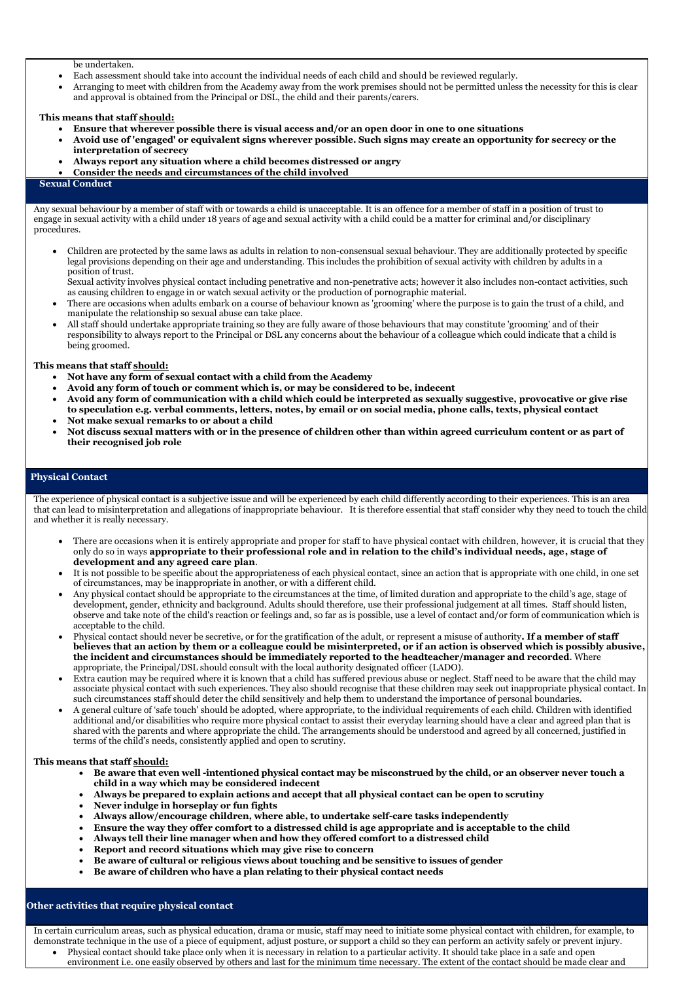be undertaken.

- Each assessment should take into account the individual needs of each child and should be reviewed regularly.
- Arranging to meet with children from the Academy away from the work premises should not be permitted unless the necessity for this is clear and approval is obtained from the Principal or DSL, the child and their parents/carers.

#### **This means that staff should:**

- **Ensure that wherever possible there is visual access and/or an open door in one to one situations**
- **Avoid use of 'engaged' or equivalent signs wherever possible. Such signs may create an opportunity for secrecy or the interpretation of secrecy**
- **Always report any situation where a child becomes distressed or angry**
- **Consider the needs and circumstances of the child involved**

#### **Sexual Conduct**

Any sexual behaviour by a member of staff with or towards a child is unacceptable. It is an offence for a member of staff in a position of trust to engage in sexual activity with a child under 18 years of age and sexual activity with a child could be a matter for criminal and/or disciplinary procedures.

• Children are protected by the same laws as adults in relation to non-consensual sexual behaviour. They are additionally protected by specific legal provisions depending on their age and understanding. This includes the prohibition of sexual activity with children by adults in a position of trust.

Sexual activity involves physical contact including penetrative and non-penetrative acts; however it also includes non-contact activities, such as causing children to engage in or watch sexual activity or the production of pornographic material.

- There are occasions when adults embark on a course of behaviour known as 'grooming' where the purpose is to gain the trust of a child, and manipulate the relationship so sexual abuse can take place.
- All staff should undertake appropriate training so they are fully aware of those behaviours that may constitute 'grooming' and of their responsibility to always report to the Principal or DSL any concerns about the behaviour of a colleague which could indicate that a child is being groomed.

#### **This means that staff should:**

- **Not have any form of sexual contact with a child from the Academy**
- **Avoid any form of touch or comment which is, or may be considered to be, indecent**
- **Avoid any form of communication with a child which could be interpreted as sexually suggestive, provocative or give rise to speculation e.g. verbal comments, letters, notes, by email or on social media, phone calls, texts, physical contact**
- **Not make sexual remarks to or about a child**
- **Not discuss sexual matters with or in the presence of children other than within agreed curriculum content or as part of their recognised job role**

### **Physical Contact**

The experience of physical contact is a subjective issue and will be experienced by each child differently according to their experiences. This is an area that can lead to misinterpretation and allegations of inappropriate behaviour. It is therefore essential that staff consider why they need to touch the child and whether it is really necessary.

- There are occasions when it is entirely appropriate and proper for staff to have physical contact with children, however, it is crucial that they only do so in ways **appropriate to their professional role and in relation to the child's individual needs, age, stage of development and any agreed care plan**.
- It is not possible to be specific about the appropriateness of each physical contact, since an action that is appropriate with one child, in one set of circumstances, may be inappropriate in another, or with a different child.
- Any physical contact should be appropriate to the circumstances at the time, of limited duration and appropriate to the child's age, stage of development, gender, ethnicity and background. Adults should therefore, use their professional judgement at all times. Staff should listen, observe and take note of the child's reaction or feelings and, so far as is possible, use a level of contact and/or form of communication which is acceptable to the child.
- Physical contact should never be secretive, or for the gratification of the adult, or represent a misuse of authority**. If a member of staff believes that an action by them or a colleague could be misinterpreted, or if an action is observed which is possibly abusive, the incident and circumstances should be immediately reported to the headteacher/manager and recorded**. Where appropriate, the Principal/DSL should consult with the local authority designated officer (LADO).
- Extra caution may be required where it is known that a child has suffered previous abuse or neglect. Staff need to be aware that the child may associate physical contact with such experiences. They also should recognise that these children may seek out inappropriate physical contact. In such circumstances staff should deter the child sensitively and help them to understand the importance of personal boundaries.
- A general culture of 'safe touch' should be adopted, where appropriate, to the individual requirements of each child. Children with identified additional and/or disabilities who require more physical contact to assist their everyday learning should have a clear and agreed plan that is shared with the parents and where appropriate the child. The arrangements should be understood and agreed by all concerned, justified in terms of the child's needs, consistently applied and open to scrutiny.

#### **This means that staff should:**

- **Be aware that even well -intentioned physical contact may be misconstrued by the child, or an observer never touch a child in a way which may be considered indecent**
- **Always be prepared to explain actions and accept that all physical contact can be open to scrutiny**
- **Never indulge in horseplay or fun fights**
- **Always allow/encourage children, where able, to undertake self-care tasks independently**
- **Ensure the way they offer comfort to a distressed child is age appropriate and is acceptable to the child**
- **Always tell their line manager when and how they offered comfort to a distressed child**
- **Report and record situations which may give rise to concern**
- **Be aware of cultural or religious views about touching and be sensitive to issues of gender**
- **Be aware of children who have a plan relating to their physical contact needs**

### **Other activities that require physical contact**

In certain curriculum areas, such as physical education, drama or music, staff may need to initiate some physical contact with children, for example, to demonstrate technique in the use of a piece of equipment, adjust posture, or support a child so they can perform an activity safely or prevent injury.

• Physical contact should take place only when it is necessary in relation to a particular activity. It should take place in a safe and open environment i.e. one easily observed by others and last for the minimum time necessary. The extent of the contact should be made clear and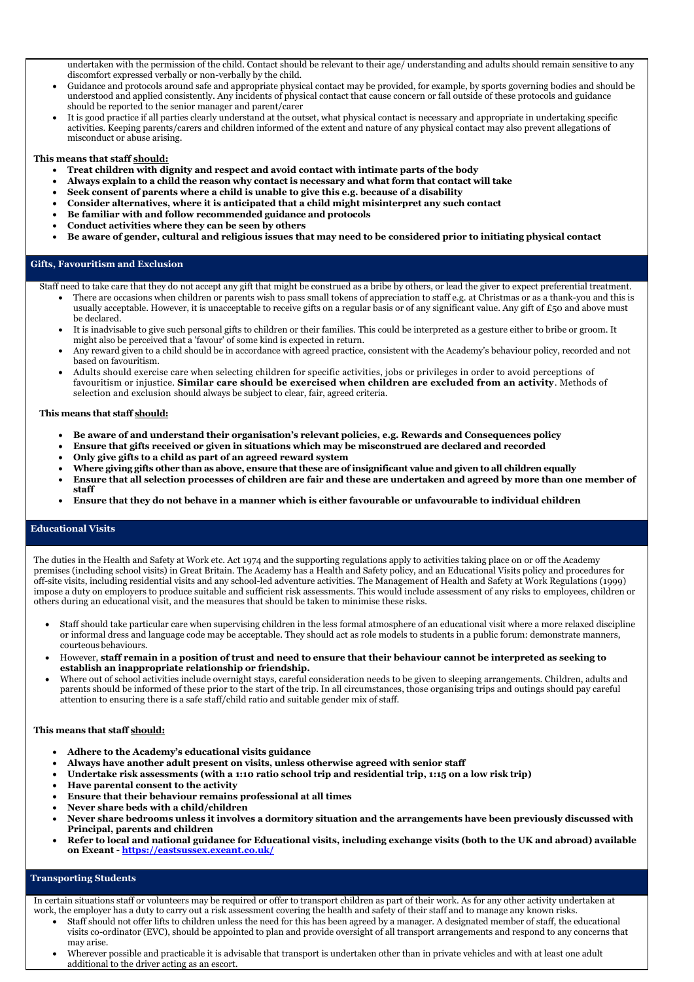undertaken with the permission of the child. Contact should be relevant to their age/ understanding and adults should remain sensitive to any discomfort expressed verbally or non-verbally by the child.

- Guidance and protocols around safe and appropriate physical contact may be provided, for example, by sports governing bodies and should be understood and applied consistently. Any incidents of physical contact that cause concern or fall outside of these protocols and guidance should be reported to the senior manager and parent/carer
- It is good practice if all parties clearly understand at the outset, what physical contact is necessary and appropriate in undertaking specific activities. Keeping parents/carers and children informed of the extent and nature of any physical contact may also prevent allegations of misconduct or abuse arising.

### **This means that staff should:**

- **Treat children with dignity and respect and avoid contact with intimate parts of the body**
- **Always explain to a child the reason why contact is necessary and what form that contact will take**
- **Seek consent of parents where a child is unable to give this e.g. because of a disability**
- **Consider alternatives, where it is anticipated that a child might misinterpret any such contact**
- **Be familiar with and follow recommended guidance and protocols**
- **Conduct activities where they can be seen by others**
- **Be aware of gender, cultural and religious issues that may need to be considered prior to initiating physical contact**

- There are occasions when children or parents wish to pass small tokens of appreciation to staff e.g. at Christmas or as a thank-you and this is usually acceptable. However, it is unacceptable to receive gifts on a regular basis or of any significant value. Any gift of £50 and above must be declared.
- It is inadvisable to give such personal gifts to children or their families. This could be interpreted as a gesture either to bribe or groom. It might also be perceived that a 'favour' of some kind is expected in return.
- Any reward given to a child should be in accordance with agreed practice, consistent with the Academy's behaviour policy, recorded and not based on favouritism.
- Adults should exercise care when selecting children for specific activities, jobs or privileges in order to avoid perceptions of favouritism or injustice. **Similar care should be exercised when children are excluded from an activity**. Methods of selection and exclusion should always be subject to clear, fair, agreed criteria.

### **Gifts, Favouritism and Exclusion**

Staff need to take care that they do not accept any gift that might be construed as a bribe by others, or lead the giver to expect preferential treatment.

#### **This means that staff should:**

- **Be aware of and understand their organisation's relevant policies, e.g. Rewards and Consequences policy**
- **Ensure that gifts received or given in situations which may be misconstrued are declared and recorded**
- **Only give gifts to a child as part of an agreed reward system**
- **Where giving gifts other than as above, ensure that these are ofinsignificant value and given to all children equally**
- **Ensure that all selection processes of children are fair and these are undertaken and agreed by more than one member of staff**
- **Ensure that they do not behave in a manner which is either favourable or unfavourable to individual children**

## **Educational Visits**

The duties in the Health and Safety at Work etc. Act 1974 and the supporting regulations apply to activities taking place on or off the Academy premises (including school visits) in Great Britain. The Academy has a Health and Safety policy, and an Educational Visits policy and procedures for off-site visits, including residential visits and any school-led adventure activities. The Management of Health and Safety at Work Regulations (1999) impose a duty on employers to produce suitable and sufficient risk assessments. This would include assessment of any risks to employees, children or others during an educational visit, and the measures that should be taken to minimise these risks.

- Staff should take particular care when supervising children in the less formal atmosphere of an educational visit where a more relaxed discipline or informal dress and language code may be acceptable. They should act as role models to students in a public forum: demonstrate manners, courteous behaviours.
- However, **staff remain in a position of trust and need to ensure that their behaviour cannot be interpreted as seeking to establish an inappropriate relationship or friendship.**
- Where out of school activities include overnight stays, careful consideration needs to be given to sleeping arrangements. Children, adults and parents should be informed of these prior to the start of the trip. In all circumstances, those organising trips and outings should pay careful attention to ensuring there is a safe staff/child ratio and suitable gender mix of staff.

#### **This means that staff should:**

- **Adhere to the Academy's educational visits guidance**
- **Always have another adult present on visits, unless otherwise agreed with senior staff**
- **Undertake risk assessments (with a 1:10 ratio school trip and residential trip, 1:15 on a low risk trip)**
- **Have parental consent to the activity**
- **Ensure that their behaviour remains professional at all times**
- **Never share beds with a child/children**
- **Never share bedrooms unless it involves a dormitory situation and the arrangements have been previously discussed with Principal, parents and children**
- **Refer to local and national guidance for Educational visits, including exchange visits (both to the UK and abroad) available on Exeant - <https://eastsussex.exeant.co.uk/>**

### **Transporting Students**

In certain situations staff or volunteers may be required or offer to transport children as part of their work. As for any other activity undertaken at work, the employer has a duty to carry out a risk assessment covering the health and safety of their staff and to manage any known risks.

- Staff should not offer lifts to children unless the need for this has been agreed by a manager. A designated member of staff, the educational visits co-ordinator (EVC), should be appointed to plan and provide oversight of all transport arrangements and respond to any concerns that may arise.
- Wherever possible and practicable it is advisable that transport is undertaken other than in private vehicles and with at least one adult additional to the driver acting as an escort.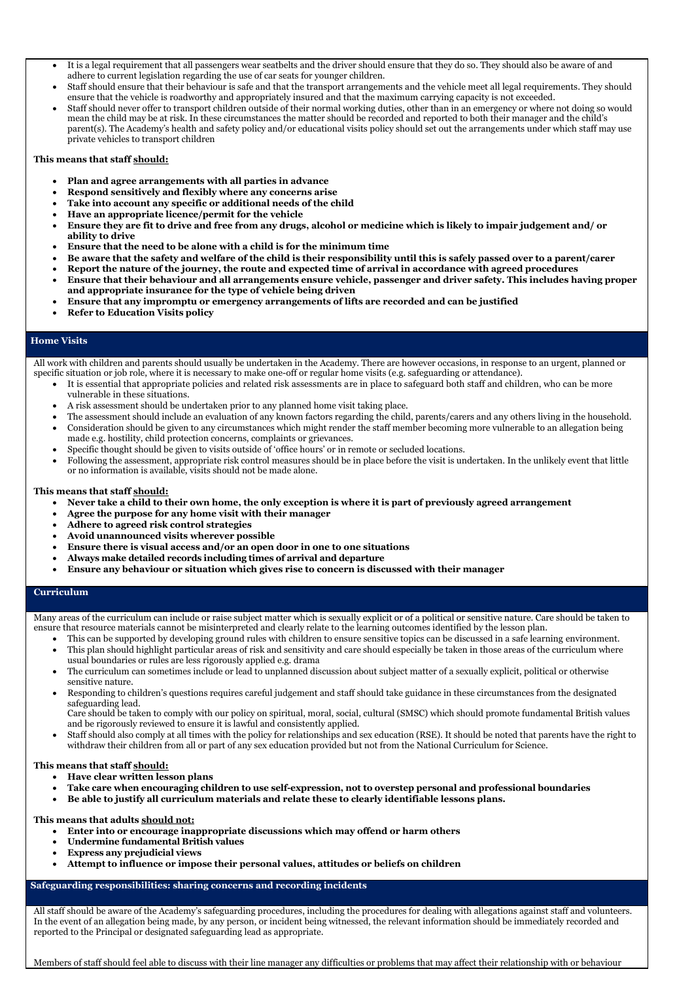- It is a legal requirement that all passengers wear seatbelts and the driver should ensure that they do so. They should also be aware of and adhere to current legislation regarding the use of car seats for younger children.
- Staff should ensure that their behaviour is safe and that the transport arrangements and the vehicle meet all legal requirements. They should ensure that the vehicle is roadworthy and appropriately insured and that the maximum carrying capacity is not exceeded.
- Staff should never offer to transport children outside of their normal working duties, other than in an emergency or where not doing so would mean the child may be at risk. In these circumstances the matter should be recorded and reported to both their manager and the child's parent(s). The Academy's health and safety policy and/or educational visits policy should set out the arrangements under which staff may use private vehicles to transport children

### **This means that staff should:**

- **Plan and agree arrangements with all parties in advance**
- **Respond sensitively and flexibly where any concerns arise**
- **Take into account any specific or additional needs of the child**
- **Have an appropriate licence/permit for the vehicle**
- **Ensure they are fit to drive and free from any drugs, alcohol or medicine which is likely to impair judgement and/ or ability to drive**
- **Ensure that the need to be alone with a child is for the minimum time**
- **Be aware that the safety and welfare of the child is their responsibility until this is safely passed over to a parent/carer**
- **Report the nature of the journey, the route and expected time of arrival in accordance with agreed procedures**
- **Ensure that their behaviour and all arrangements ensure vehicle, passenger and driver safety. This includes having proper and appropriate insurance for the type of vehicle being driven**
- **Ensure that any impromptu or emergency arrangements of lifts are recorded and can be justified**
- **Refer to Education Visits policy**

### **Home Visits**

All work with children and parents should usually be undertaken in the Academy. There are however occasions, in response to an urgent, planned or specific situation or job role, where it is necessary to make one-off or regular home visits (e.g. safeguarding or attendance).

- It is essential that appropriate policies and related risk assessments are in place to safeguard both staff and children, who can be more vulnerable in these situations.
- A risk assessment should be undertaken prior to any planned home visit taking place.
- The assessment should include an evaluation of any known factors regarding the child, parents/carers and any others living in the household.
- Consideration should be given to any circumstances which might render the staff member becoming more vulnerable to an allegation being made e.g. hostility, child protection concerns, complaints or grievances.
- Specific thought should be given to visits outside of 'office hours' or in remote or secluded locations.
- Following the assessment, appropriate risk control measures should be in place before the visit is undertaken. In the unlikely event that little or no information is available, visits should not be made alone.

#### **This means that staff should:**

- **Never take a child to their own home, the only exception is where it is part of previously agreed arrangement**
- **Agree the purpose for any home visit with their manager**
- **Adhere to agreed risk control strategies**
- **Avoid unannounced visits wherever possible**
- **Ensure there is visual access and/or an open door in one to one situations**
- **Always make detailed records including times of arrival and departure**
- **Ensure any behaviour or situation which gives rise to concern is discussed with their manager**

### **Curriculum**

Many areas of the curriculum can include or raise subject matter which is sexually explicit or of a political or sensitive nature. Care should be taken to ensure that resource materials cannot be misinterpreted and clearly relate to the learning outcomes identified by the lesson plan.

- This can be supported by developing ground rules with children to ensure sensitive topics can be discussed in a safe learning environment.
- This plan should highlight particular areas of risk and sensitivity and care should especially be taken in those areas of the curriculum where usual boundaries or rules are less rigorously applied e.g. drama
- The curriculum can sometimes include or lead to unplanned discussion about subject matter of a sexually explicit, political or otherwise sensitive nature.
- Responding to children's questions requires careful judgement and staff should take guidance in these circumstances from the designated safeguarding lead.

Care should be taken to comply with our policy on spiritual, moral, social, cultural (SMSC) which should promote fundamental British values and be rigorously reviewed to ensure it is lawful and consistently applied.

• Staff should also comply at all times with the policy for relationships and sex education (RSE). It should be noted that parents have the right to

withdraw their children from all or part of any sex education provided but not from the National Curriculum for Science.

### **This means that staff should:**

- **Have clear written lesson plans**
- **Take care when encouraging children to use self-expression, not to overstep personal and professional boundaries**
- **Be able to justify all curriculum materials and relate these to clearly identifiable lessons plans.**

**This means that adults should not:**

- **Enter into or encourage inappropriate discussions which may offend or harm others**
- **Undermine fundamental British values**
- **Express any prejudicial views**
- **Attempt to influence or impose their personal values, attitudes or beliefs on children**

**Safeguarding responsibilities: sharing concerns and recording incidents**

All staff should be aware of the Academy's safeguarding procedures, including the procedures for dealing with allegations against staff and volunteers. In the event of an allegation being made, by any person, or incident being witnessed, the relevant information should be immediately recorded and reported to the Principal or designated safeguarding lead as appropriate.

Members of staff should feel able to discuss with their line manager any difficulties or problems that may affect their relationship with or behaviour